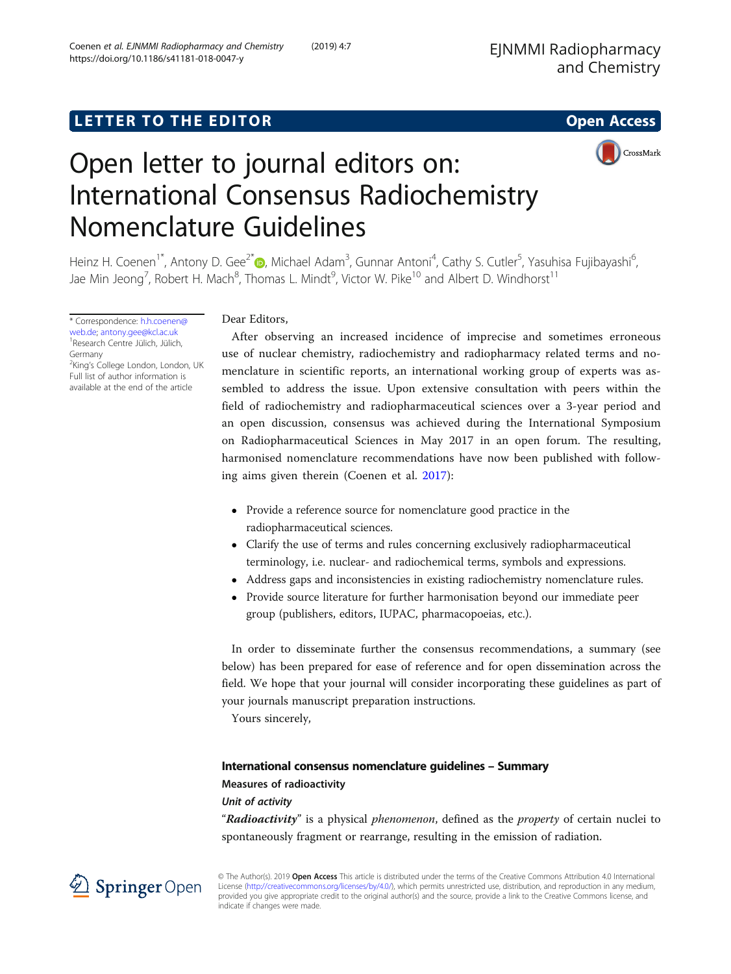CrossMark

# Open letter to journal editors on: International Consensus Radiochemistry Nomenclature Guidelines

Heinz H. Coenen<sup>1[\\*](http://orcid.org/0000-0001-8389-9012)</sup>, Antony D. Gee<sup>2\*</sup>®, Michael Adam<sup>3</sup>, Gunnar Antoni<sup>4</sup>, Cathy S. Cutler<sup>5</sup>, Yasuhisa Fujibayashi<sup>6</sup> , Jae Min Jeong<sup>7</sup>, Robert H. Mach $^8$ , Thomas L. Mindt $^9$ , Victor W. Pike $^{10}$  and Albert D. Windhorst $^{11}$ 

\* Correspondence: [h.h.coenen@](mailto:h.h.coenen@web.de) [web.de;](mailto:h.h.coenen@web.de) [antony.gee@kcl.ac.uk](mailto:antony.gee@kcl.ac.uk) <sup>1</sup> Research Centre Jülich, Jülich, Germany <sup>2</sup>King's College London, London, UK Full list of author information is

available at the end of the article

Dear Editors,

After observing an increased incidence of imprecise and sometimes erroneous use of nuclear chemistry, radiochemistry and radiopharmacy related terms and nomenclature in scientific reports, an international working group of experts was assembled to address the issue. Upon extensive consultation with peers within the field of radiochemistry and radiopharmaceutical sciences over a 3-year period and an open discussion, consensus was achieved during the International Symposium on Radiopharmaceutical Sciences in May 2017 in an open forum. The resulting, harmonised nomenclature recommendations have now been published with following aims given therein (Coenen et al. [2017](#page-4-0)):

- Provide a reference source for nomenclature good practice in the radiopharmaceutical sciences.
- Clarify the use of terms and rules concerning exclusively radiopharmaceutical terminology, i.e. nuclear- and radiochemical terms, symbols and expressions.
- Address gaps and inconsistencies in existing radiochemistry nomenclature rules.
- Provide source literature for further harmonisation beyond our immediate peer group (publishers, editors, IUPAC, pharmacopoeias, etc.).

In order to disseminate further the consensus recommendations, a summary (see below) has been prepared for ease of reference and for open dissemination across the field. We hope that your journal will consider incorporating these guidelines as part of your journals manuscript preparation instructions.

Yours sincerely,

# International consensus nomenclature guidelines – Summary

# Measures of radioactivity

Unit of activity

"Radioactivity" is a physical phenomenon, defined as the property of certain nuclei to spontaneously fragment or rearrange, resulting in the emission of radiation.



© The Author(s). 2019 Open Access This article is distributed under the terms of the Creative Commons Attribution 4.0 International License [\(http://creativecommons.org/licenses/by/4.0/](http://creativecommons.org/licenses/by/4.0/)), which permits unrestricted use, distribution, and reproduction in any medium, provided you give appropriate credit to the original author(s) and the source, provide a link to the Creative Commons license, and indicate if changes were made.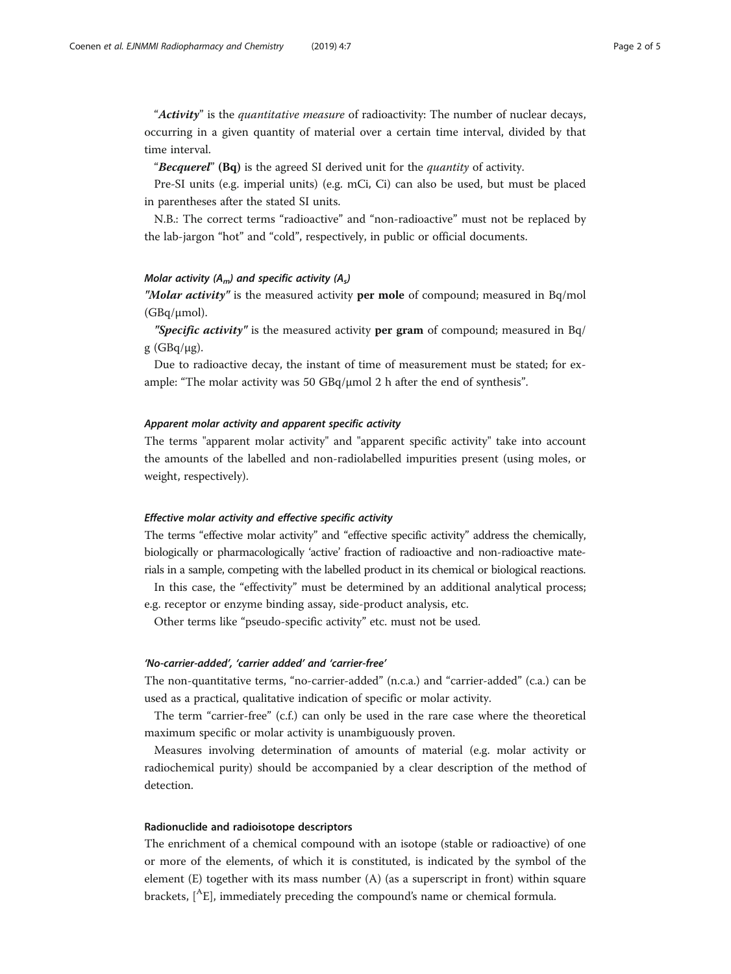"Activity" is the quantitative measure of radioactivity: The number of nuclear decays, occurring in a given quantity of material over a certain time interval, divided by that time interval.

"Becquerel" (Bq) is the agreed SI derived unit for the quantity of activity.

Pre-SI units (e.g. imperial units) (e.g. mCi, Ci) can also be used, but must be placed in parentheses after the stated SI units.

N.B.: The correct terms "radioactive" and "non-radioactive" must not be replaced by the lab-jargon "hot" and "cold", respectively, in public or official documents.

## Molar activity  $(A_m)$  and specific activity  $(A_s)$

"Molar activity" is the measured activity per mole of compound; measured in  $Bq/mol$ (GBq/μmol).

"Specific activity" is the measured activity per gram of compound; measured in  $Bq/$ g (GBq/μg).

Due to radioactive decay, the instant of time of measurement must be stated; for example: "The molar activity was 50  $GBq/\mu$ mol 2 h after the end of synthesis".

## Apparent molar activity and apparent specific activity

The terms "apparent molar activity" and "apparent specific activity" take into account the amounts of the labelled and non-radiolabelled impurities present (using moles, or weight, respectively).

# Effective molar activity and effective specific activity

The terms "effective molar activity" and "effective specific activity" address the chemically, biologically or pharmacologically 'active' fraction of radioactive and non-radioactive materials in a sample, competing with the labelled product in its chemical or biological reactions.

In this case, the "effectivity" must be determined by an additional analytical process; e.g. receptor or enzyme binding assay, side-product analysis, etc.

Other terms like "pseudo-specific activity" etc. must not be used.

# 'No-carrier-added', 'carrier added' and 'carrier-free'

The non-quantitative terms, "no-carrier-added" (n.c.a.) and "carrier-added" (c.a.) can be used as a practical, qualitative indication of specific or molar activity.

The term "carrier-free" (c.f.) can only be used in the rare case where the theoretical maximum specific or molar activity is unambiguously proven.

Measures involving determination of amounts of material (e.g. molar activity or radiochemical purity) should be accompanied by a clear description of the method of detection.

# Radionuclide and radioisotope descriptors

The enrichment of a chemical compound with an isotope (stable or radioactive) of one or more of the elements, of which it is constituted, is indicated by the symbol of the element (E) together with its mass number (A) (as a superscript in front) within square brackets, [AE], immediately preceding the compound's name or chemical formula.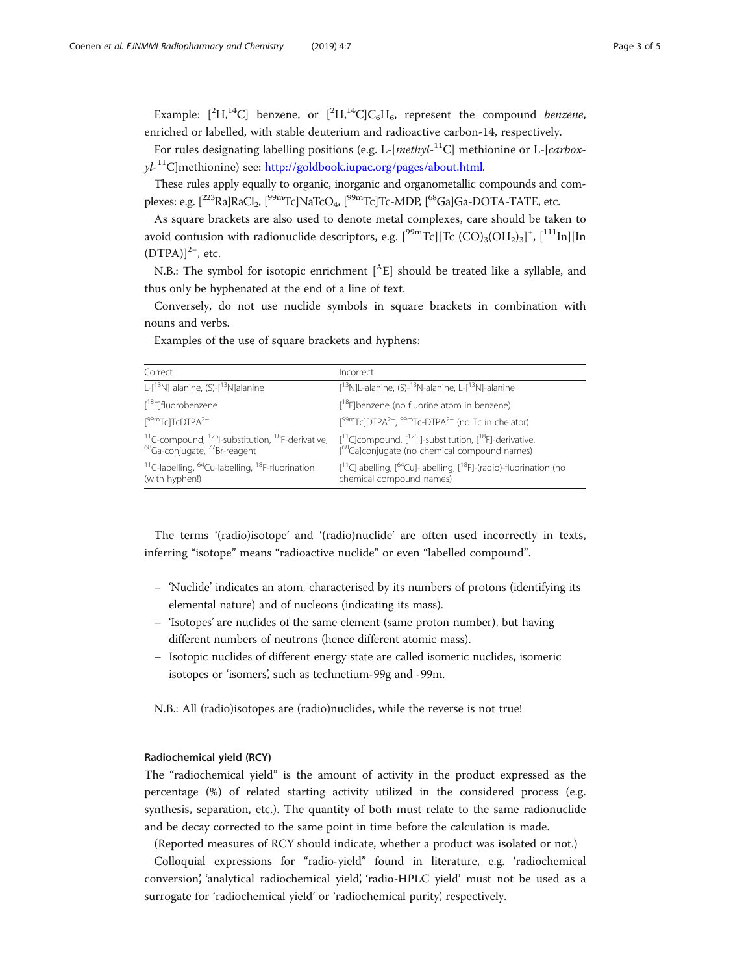Example:  $[^{2}H, ^{14}C]$  benzene, or  $[^{2}H, ^{14}C]C_{6}H_{6}$ , represent the compound *benzene*, enriched or labelled, with stable deuterium and radioactive carbon-14, respectively.

For rules designating labelling positions (e.g. L-[methyl-<sup>11</sup>C] methionine or L-[carboxyl-<sup>11</sup>C]methionine) see: <http://goldbook.iupac.org/pages/about.html>.

These rules apply equally to organic, inorganic and organometallic compounds and complexes: e.g.  $[^{223}$ Ra]RaCl<sub>2</sub>,  $[^{99m}$ Tc]NaTcO<sub>4</sub>,  $[^{99m}$ Tc]Tc-MDP,  $[^{68}$ Ga]Ga-DOTA-TATE, etc.

As square brackets are also used to denote metal complexes, care should be taken to avoid confusion with radionuclide descriptors, e.g.  $[^{99 \rm m} \rm{Tc}][\rm{Tc}$  (CO)<sub>3</sub>(OH<sub>2</sub>)<sub>3</sub>]<sup>+</sup>, [ $^{111} \rm{In}][\rm{In}$  $(DTPA)]^{2-}$ , etc.

N.B.: The symbol for isotopic enrichment  $[$ <sup>A</sup>E] should be treated like a syllable, and thus only be hyphenated at the end of a line of text.

Conversely, do not use nuclide symbols in square brackets in combination with nouns and verbs.

| Correct                                                                                                                                      | Incorrect                                                                                                                                                       |
|----------------------------------------------------------------------------------------------------------------------------------------------|-----------------------------------------------------------------------------------------------------------------------------------------------------------------|
| L- $\lceil$ <sup>13</sup> N] alanine, (S)- $\lceil$ <sup>13</sup> N]alanine                                                                  | <sup>[13</sup> N]L-alanine. (S)- <sup>13</sup> N-alanine. L-[ <sup>13</sup> N]-alanine                                                                          |
| [ <sup>18</sup> F]fluorobenzene                                                                                                              | [ <sup>18</sup> F]benzene (no fluorine atom in benzene)                                                                                                         |
| $\int^{99m}$ Tc]TcDTPA <sup>2-</sup>                                                                                                         | $199m$ TclDTPA <sup>2-</sup> , $99m$ Tc-DTPA <sup>2-</sup> (no Tc in chelator)                                                                                  |
| <sup>11</sup> C-compound, <sup>125</sup> l-substitution, <sup>18</sup> F-derivative,<br><sup>68</sup> Ga-conjugate, <sup>77</sup> Br-reagent | $[$ <sup>11</sup> C]compound, $[$ <sup>125</sup> l]-substitution, $[$ <sup>18</sup> F]-derivative,<br>[ <sup>68</sup> Ga]conjugate (no chemical compound names) |
| <sup>11</sup> C-labelling, <sup>64</sup> Cu-labelling, <sup>18</sup> F-fluorination<br>(with hyphen!)                                        | $[$ <sup>11</sup> C]labelling, $[$ <sup>64</sup> Cu]-labelling, $[$ <sup>18</sup> F]-(radio)-fluorination (no<br>chemical compound names)                       |

Examples of the use of square brackets and hyphens:

The terms '(radio)isotope' and '(radio)nuclide' are often used incorrectly in texts, inferring "isotope" means "radioactive nuclide" or even "labelled compound".

- 'Nuclide' indicates an atom, characterised by its numbers of protons (identifying its elemental nature) and of nucleons (indicating its mass).
- 'Isotopes' are nuclides of the same element (same proton number), but having different numbers of neutrons (hence different atomic mass).
- Isotopic nuclides of different energy state are called isomeric nuclides, isomeric isotopes or 'isomers', such as technetium-99g and -99m.

N.B.: All (radio)isotopes are (radio)nuclides, while the reverse is not true!

# Radiochemical yield (RCY)

The "radiochemical yield" is the amount of activity in the product expressed as the percentage (%) of related starting activity utilized in the considered process (e.g. synthesis, separation, etc.). The quantity of both must relate to the same radionuclide and be decay corrected to the same point in time before the calculation is made.

(Reported measures of RCY should indicate, whether a product was isolated or not.)

Colloquial expressions for "radio-yield" found in literature, e.g. 'radiochemical conversion', 'analytical radiochemical yield', 'radio-HPLC yield' must not be used as a surrogate for 'radiochemical yield' or 'radiochemical purity', respectively.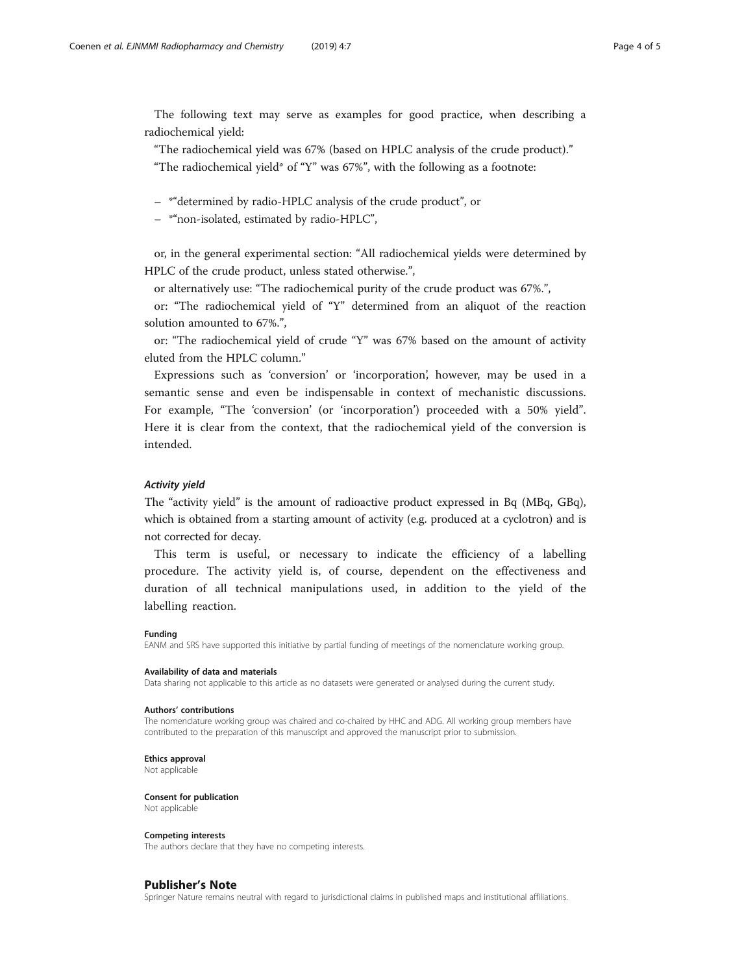The following text may serve as examples for good practice, when describing a radiochemical yield:

"The radiochemical yield was 67% (based on HPLC analysis of the crude product)."

"The radiochemical yield\* of "Y" was  $67\%$ ", with the following as a footnote:

– \*"determined by radio-HPLC analysis of the crude product", or

– \*"non-isolated, estimated by radio-HPLC",

or, in the general experimental section: "All radiochemical yields were determined by HPLC of the crude product, unless stated otherwise.",

or alternatively use: "The radiochemical purity of the crude product was 67%.",

or: "The radiochemical yield of "Y" determined from an aliquot of the reaction solution amounted to 67%.",

or: "The radiochemical yield of crude "Y" was 67% based on the amount of activity eluted from the HPLC column."

Expressions such as 'conversion' or 'incorporation', however, may be used in a semantic sense and even be indispensable in context of mechanistic discussions. For example, "The 'conversion' (or 'incorporation') proceeded with a 50% yield". Here it is clear from the context, that the radiochemical yield of the conversion is intended.

## Activity yield

The "activity yield" is the amount of radioactive product expressed in Bq (MBq, GBq), which is obtained from a starting amount of activity (e.g. produced at a cyclotron) and is not corrected for decay.

This term is useful, or necessary to indicate the efficiency of a labelling procedure. The activity yield is, of course, dependent on the effectiveness and duration of all technical manipulations used, in addition to the yield of the labelling reaction.

#### Funding

EANM and SRS have supported this initiative by partial funding of meetings of the nomenclature working group.

#### Availability of data and materials

Data sharing not applicable to this article as no datasets were generated or analysed during the current study.

#### Authors' contributions

The nomenclature working group was chaired and co-chaired by HHC and ADG. All working group members have contributed to the preparation of this manuscript and approved the manuscript prior to submission.

#### Ethics approval

Not applicable

Consent for publication Not applicable

#### Competing interests

The authors declare that they have no competing interests.

## Publisher's Note

Springer Nature remains neutral with regard to jurisdictional claims in published maps and institutional affiliations.